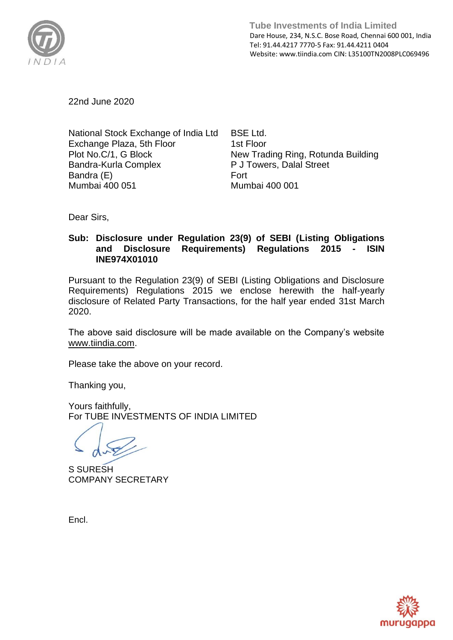

 **Tube Investments of India Limited**  Dare House, 234, N.S.C. Bose Road, Chennai 600 001, India Tel: 91.44.4217 7770-5 Fax: 91.44.4211 0404 Website: www.tiindia.com CIN: L35100TN2008PLC069496

22nd June 2020

National Stock Exchange of India Ltd Exchange Plaza, 5th Floor Plot No.C/1, G Block Bandra-Kurla Complex Bandra (E) Mumbai 400 051

BSE Ltd. 1st Floor New Trading Ring, Rotunda Building P J Towers, Dalal Street Fort Mumbai 400 001

Dear Sirs,

## **Sub: Disclosure under Regulation 23(9) of SEBI (Listing Obligations and Disclosure Requirements) Regulations 2015 - ISIN INE974X01010**

Pursuant to the Regulation 23(9) of SEBI (Listing Obligations and Disclosure Requirements) Regulations 2015 we enclose herewith the half-yearly disclosure of Related Party Transactions, for the half year ended 31st March 2020.

The above said disclosure will be made available on the Company's website [www.tiindia.com.](http://www.tiindia.com/)

Please take the above on your record.

Thanking you,

Yours faithfully, For TUBE INVESTMENTS OF INDIA LIMITED

S SURESH COMPANY SECRETARY

Encl.

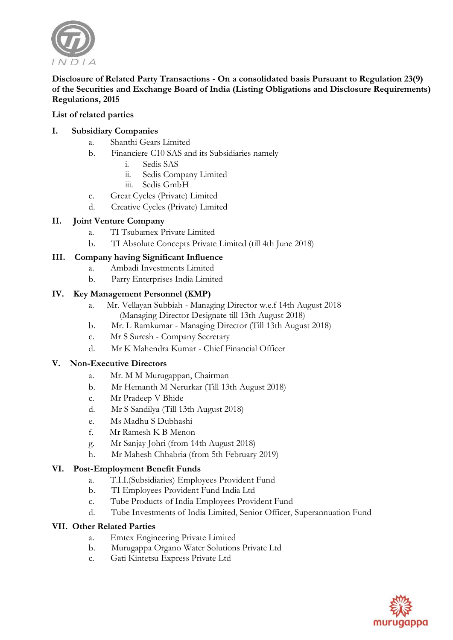

## **Disclosure of Related Party Transactions - On a consolidated basis Pursuant to Regulation 23(9) of the Securities and Exchange Board of India (Listing Obligations and Disclosure Requirements) Regulations, 2015**

## **List of related parties**

## **I. Subsidiary Companies**

- a. Shanthi Gears Limited
- b. Financiere C10 SAS and its Subsidiaries namely
	- Sedis SAS
	- ii. Sedis Company Limited
	- iii. Sedis GmbH
- c. Great Cycles (Private) Limited
- d. Creative Cycles (Private) Limited

## **II. Joint Venture Company**

- a. TI Tsubamex Private Limited
- b. TI Absolute Concepts Private Limited (till 4th June 2018)

## **III. Company having Significant Influence**

- a. Ambadi Investments Limited
- b. Parry Enterprises India Limited

#### **IV. Key Management Personnel (KMP)**

- a. Mr. Vellayan Subbiah Managing Director w.e.f 14th August 2018 (Managing Director Designate till 13th August 2018)
- b. Mr. L Ramkumar Managing Director (Till 13th August 2018)
- c. Mr S Suresh Company Secretary
- d. Mr K Mahendra Kumar Chief Financial Officer

#### **V. Non-Executive Directors**

- a. Mr. M M Murugappan, Chairman
- b. Mr Hemanth M Nerurkar (Till 13th August 2018)
- c. Mr Pradeep V Bhide
- d. Mr S Sandilya (Till 13th August 2018)
- e. Ms Madhu S Dubhashi
- f. Mr Ramesh K B Menon
- g. Mr Sanjay Johri (from 14th August 2018)
- h. Mr Mahesh Chhabria (from 5th February 2019)

#### **VI. Post-Employment Benefit Funds**

- a. T.I.I.(Subsidiaries) Employees Provident Fund
- b. TI Employees Provident Fund India Ltd
- c. Tube Products of India Employees Provident Fund
- d. Tube Investments of India Limited, Senior Officer, Superannuation Fund

#### **VII. Other Related Parties**

- a. Emtex Engineering Private Limited
- b. Murugappa Organo Water Solutions Private Ltd
- c. Gati Kintetsu Express Private Ltd